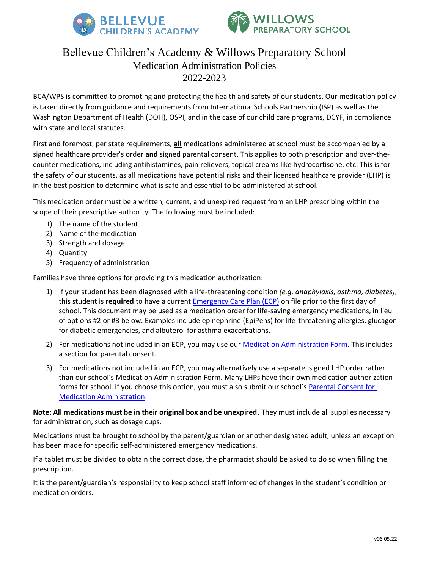



## Bellevue Children's Academy & Willows Preparatory School Medication Administration Policies 2022-2023

BCA/WPS is committed to promoting and protecting the health and safety of our students. Our medication policy is taken directly from guidance and requirements from International Schools Partnership (ISP) as well as the Washington Department of Health (DOH), OSPI, and in the case of our child care programs, DCYF, in compliance with state and local statutes.

First and foremost, per state requirements, **all** medications administered at school must be accompanied by a signed healthcare provider's order **and** signed parental consent. This applies to both prescription and over-thecounter medications, including antihistamines, pain relievers, topical creams like hydrocortisone, etc. This is for the safety of our students, as all medications have potential risks and their licensed healthcare provider (LHP) is in the best position to determine what is safe and essential to be administered at school.

This medication order must be a written, current, and unexpired request from an LHP prescribing within the scope of their prescriptive authority. The following must be included:

- 1) The name of the student
- 2) Name of the medication
- 3) Strength and dosage
- 4) Quantity
- 5) Frequency of administration

Families have three options for providing this medication authorization:

- 1) If your student has been diagnosed with a life-threatening condition *(e.g. anaphylaxis, asthma, diabetes)*, this student is **required** to have a current [Emergency Care Plan \(ECP\)](#page-1-0) on file prior to the first day of school. This document may be used as a medication order for life-saving emergency medications, in lieu of options #2 or #3 below. Examples include epinephrine (EpiPens) for life-threatening allergies, glucagon for diabetic emergencies, and albuterol for asthma exacerbations.
- 2) For medications not included in an ECP, you may use our [Medication Administration Form.](https://www.bcacademy.com/wp-content/uploads/2022/06/Medication-Administration-Form-2022-2023.pdf) This includes a section for parental consent.
- 3) For medications not included in an ECP, you may alternatively use a separate, signed LHP order rather than our school's Medication Administration Form. Many LHPs have their own medication authorization forms for school. If you choose this option, you must also submit our school's [Parental Consent for](https://www.bcacademy.com/wp-content/uploads/2022/06/Parental-Consent-for-Medication-Administration-at-School-2022-2023.pdf)  [Medication Administration.](https://www.bcacademy.com/wp-content/uploads/2022/06/Parental-Consent-for-Medication-Administration-at-School-2022-2023.pdf)

**Note: All medications must be in their original box and be unexpired.** They must include all supplies necessary for administration, such as dosage cups.

Medications must be brought to school by the parent/guardian or another designated adult, unless an exception has been made for specific self-administered emergency medications.

If a tablet must be divided to obtain the correct dose, the pharmacist should be asked to do so when filling the prescription.

It is the parent/guardian's responsibility to keep school staff informed of changes in the student's condition or medication orders.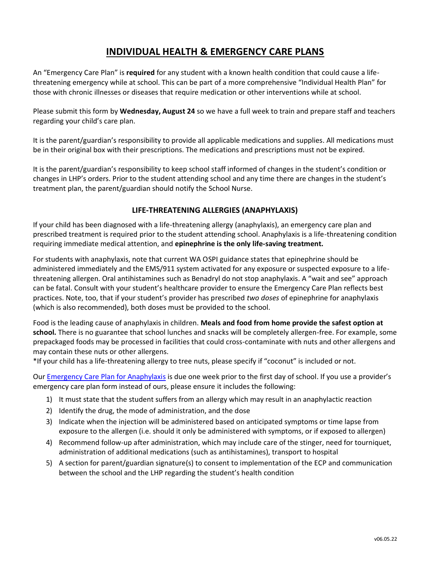## **INDIVIDUAL HEALTH & EMERGENCY CARE PLANS**

<span id="page-1-0"></span>An "Emergency Care Plan" is **required** for any student with a known health condition that could cause a lifethreatening emergency while at school. This can be part of a more comprehensive "Individual Health Plan" for those with chronic illnesses or diseases that require medication or other interventions while at school.

Please submit this form by **Wednesday, August 24** so we have a full week to train and prepare staff and teachers regarding your child's care plan.

It is the parent/guardian's responsibility to provide all applicable medications and supplies. All medications must be in their original box with their prescriptions. The medications and prescriptions must not be expired.

It is the parent/guardian's responsibility to keep school staff informed of changes in the student's condition or changes in LHP's orders. Prior to the student attending school and any time there are changes in the student's treatment plan, the parent/guardian should notify the School Nurse.

## **LIFE-THREATENING ALLERGIES (ANAPHYLAXIS)**

If your child has been diagnosed with a life-threatening allergy (anaphylaxis), an emergency care plan and prescribed treatment is required prior to the student attending school. Anaphylaxis is a life-threatening condition requiring immediate medical attention, and **epinephrine is the only life-saving treatment.** 

For students with anaphylaxis, note that current WA OSPI guidance states that epinephrine should be administered immediately and the EMS/911 system activated for any exposure or suspected exposure to a lifethreatening allergen. Oral antihistamines such as Benadryl do not stop anaphylaxis. A "wait and see" approach can be fatal. Consult with your student's healthcare provider to ensure the Emergency Care Plan reflects best practices. Note, too, that if your student's provider has prescribed *two doses* of epinephrine for anaphylaxis (which is also recommended), both doses must be provided to the school.

Food is the leading cause of anaphylaxis in children. **Meals and food from home provide the safest option at school.** There is no guarantee that school lunches and snacks will be completely allergen-free. For example, some prepackaged foods may be processed in facilities that could cross-contaminate with nuts and other allergens and may contain these nuts or other allergens.

\*If your child has a life-threatening allergy to tree nuts, please specify if "coconut" is included or not.

Our [Emergency Care Plan for](https://www.bcacademy.com/wp-content/uploads/2022/06/Emergency-Care-Plan-for-Anaphylaxis-2022-2023.pdf) Anaphylaxis is due one week prior to the first day of school. If you use a provider's emergency care plan form instead of ours, please ensure it includes the following:

- 1) It must state that the student suffers from an allergy which may result in an anaphylactic reaction
- 2) Identify the drug, the mode of administration, and the dose
- 3) Indicate when the injection will be administered based on anticipated symptoms or time lapse from exposure to the allergen (i.e. should it only be administered with symptoms, or if exposed to allergen)
- 4) Recommend follow-up after administration, which may include care of the stinger, need for tourniquet, administration of additional medications (such as antihistamines), transport to hospital
- 5) A section for parent/guardian signature(s) to consent to implementation of the ECP and communication between the school and the LHP regarding the student's health condition